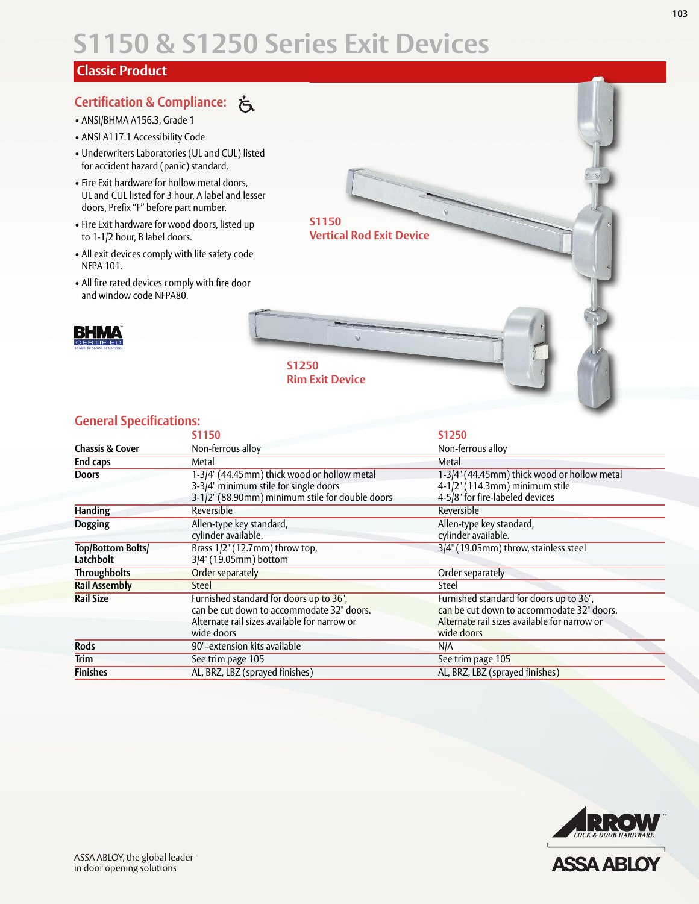# **S1150 & S1250 Series Exit Devices**

### **Classic Product**

# **Certification & Compliance:**

- ANSI/BHMA A156.3, Grade 1
- ANSI A117.1 Accessibility Code
- Underwriters Laboratories (UL and CUL) listed for accident hazard (panic) standard.
- Fire Exit hardware for hollow metal doors, UL and CUL listed for 3 hour, A label and lesser doors, Prefix "F" before part number.
- Fire Exit hardware for wood doors, listed up to 1-1/2 hour, B label doors.
- All exit devices comply with life safety code NFPA 101.
- All fire rated devices comply with fire door and window code NFPA80.



**S1150 Vertical Rod Exit Device**



### **General Specifications:**

|                                       | <b>S1150</b>                                                                                                                                       | <b>S1250</b>                                                                                                                                       |
|---------------------------------------|----------------------------------------------------------------------------------------------------------------------------------------------------|----------------------------------------------------------------------------------------------------------------------------------------------------|
| <b>Chassis &amp; Cover</b>            | Non-ferrous alloy                                                                                                                                  | Non-ferrous alloy                                                                                                                                  |
| <b>End caps</b>                       | Metal                                                                                                                                              | Metal                                                                                                                                              |
| <b>Doors</b>                          | 1-3/4" (44.45mm) thick wood or hollow metal<br>3-3/4" minimum stile for single doors<br>3-1/2" (88.90mm) minimum stile for double doors            | 1-3/4" (44.45mm) thick wood or hollow metal<br>$4-1/2$ " (114.3mm) minimum stile<br>4-5/8" for fire-labeled devices                                |
| <b>Handing</b>                        | Reversible                                                                                                                                         | Reversible                                                                                                                                         |
| <b>Dogging</b>                        | Allen-type key standard,<br>cylinder available.                                                                                                    | Allen-type key standard,<br>cylinder available.                                                                                                    |
| <b>Top/Bottom Bolts/</b><br>Latchbolt | Brass $1/2$ " (12.7mm) throw top,<br>3/4" (19.05mm) bottom                                                                                         | 3/4" (19.05mm) throw, stainless steel                                                                                                              |
| <b>Throughbolts</b>                   | Order separately                                                                                                                                   | Order separately                                                                                                                                   |
| <b>Rail Assembly</b>                  | <b>Steel</b>                                                                                                                                       | Steel                                                                                                                                              |
| <b>Rail Size</b>                      | Furnished standard for doors up to 36",<br>can be cut down to accommodate 32" doors.<br>Alternate rail sizes available for narrow or<br>wide doors | Furnished standard for doors up to 36",<br>can be cut down to accommodate 32" doors.<br>Alternate rail sizes available for narrow or<br>wide doors |
| <b>Rods</b>                           | 90"-extension kits available                                                                                                                       | N/A                                                                                                                                                |
| <b>Trim</b>                           | See trim page 105                                                                                                                                  | See trim page 105                                                                                                                                  |
| <b>Finishes</b>                       | AL, BRZ, LBZ (sprayed finishes)                                                                                                                    | AL, BRZ, LBZ (sprayed finishes)                                                                                                                    |



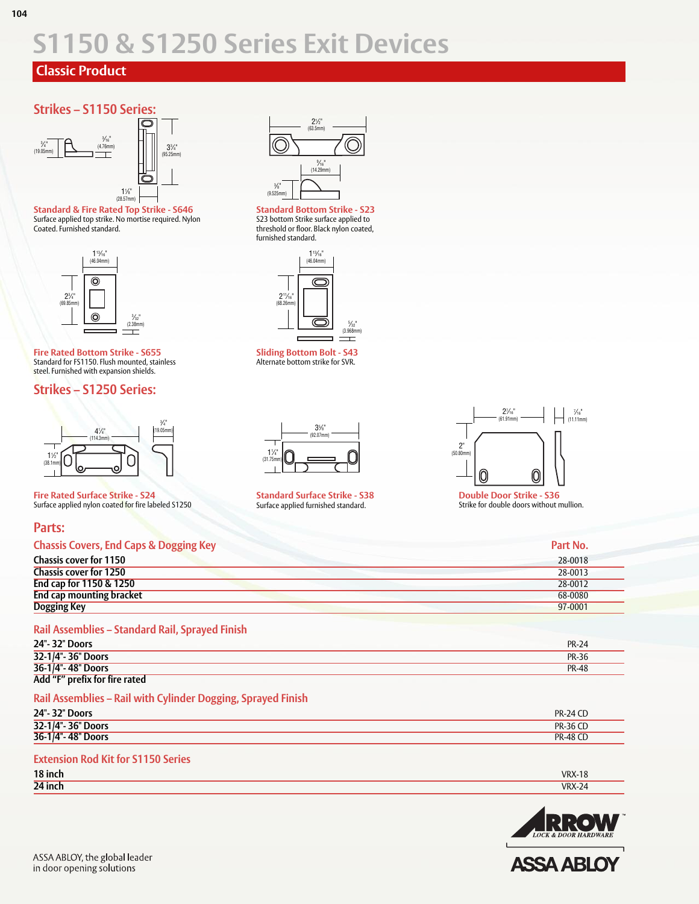# **S1150 & S1250 Series Exit Devices**

### **Classic Product**



**Standard & Fire Rated Top Strike - S646** Surface applied top strike. No mortise required. Nylon Coated. Furnished standard.



**Fire Rated Bottom Strike - S655** Standard for FS1150. Flush mounted, stainless steel. Furnished with expansion shields.

### **Strikes – S1250 Series:**



**Fire Rated Surface Strike - S24** Surface applied nylon coated for fire labeled S1250

### **Parts:**



#### **Rail Assemblies – Standard Rail, Sprayed Finish**

| 24"-32" Doors                 | <b>PR-24</b> |
|-------------------------------|--------------|
| 32-1/4"-36" Doors             | <b>PR-36</b> |
| 36-1/4"-48" Doors             | <b>PR-48</b> |
| Add "F" prefix for fire rated |              |

#### **Rail Assemblies – Rail with Cylinder Dogging, Sprayed Finish**

| 24"-32" Doors     | <b>PR-24 CD</b> |
|-------------------|-----------------|
| 32-1/4"-36" Doors | <b>PR-36 CD</b> |
| 36-1/4"-48" Doors | <b>PR-48 CD</b> |

#### **Extension Rod Kit for S1150 Series**

| 18 inch | <b>VRX-18</b> |
|---------|---------------|
| 24 inch | <b>VRX-24</b> |





ASSA ABLOY, the global leader in door opening solutions



**Standard Bottom Strike - S23** S23 bottom Strike surface applied to threshold or floor. Black nylon coated, furnished standard.



**Sliding Bottom Bolt - S43** Alternate bottom strike for SVR.



**Standard Surface Strike - S38** Surface applied furnished standard.



**Double Door Strike - S36** Strike for double doors without mullion.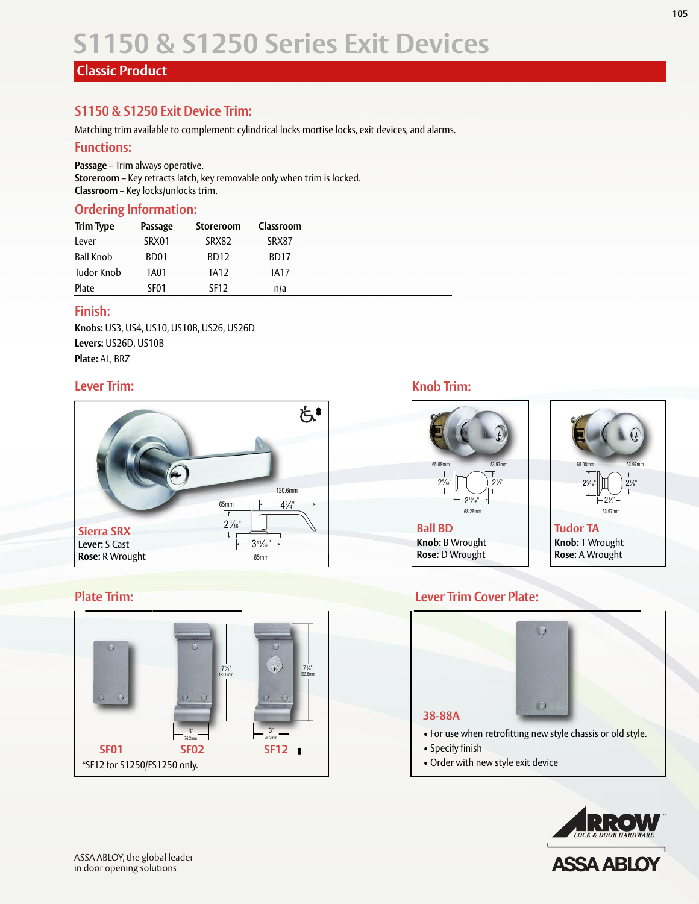# **S1150 & S1250 Series Exit Devices**

### **Classic Product**

### **S1150 & S1250 Exit Device Trim:**

Matching trim available to complement: cylindrical locks mortise locks, exit devices, and alarms.

#### **Functions:**

**Passage** – Trim always operative. **Storeroom** – Key retracts latch, key removable only when trim is locked. **Classroom** – Key locks/unlocks trim.

### **Ordering Information:**

| <b>Trim Type</b> | Passage          | Storeroom        | Classroom        |  |
|------------------|------------------|------------------|------------------|--|
| Lever            | SRX01            | SRX82            | SRX87            |  |
| <b>Ball Knob</b> | BD <sub>01</sub> | BD <sub>12</sub> | BD <sub>17</sub> |  |
| Tudor Knob       | TA01             | TA12             | TA17             |  |
| Plate            | SF <sub>01</sub> | SF <sub>12</sub> | n/a              |  |

#### **Finish:**

**Knobs:** US3, US4, US10, US10B, US26, US26D **Levers:** US26D, US10B **Plate:** AL, BRZ

#### **Lever Trim: Knob Trim:**







### **Plate Trim: Lever Trim Cover Plate:**



- Specify finish
- Order with new style exit device



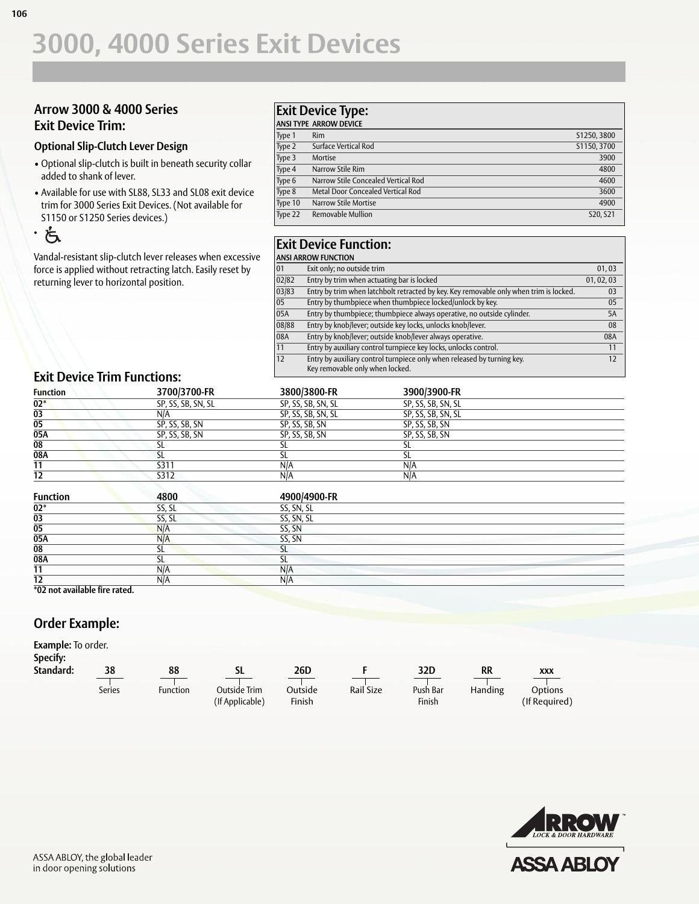# **3000, 4000 Series Exit Devices**

#### **Arrow 3000 & 4000 Series Exit Device Trim:**

#### **Optional Slip-Clutch Lever Design**

- Optional slip-clutch is built in beneath security collar added to shank of lever.
- Available for use with SL88, SL33 and SL08 exit device trim for 3000 Series Exit Devices. (Not available for S1150 or S1250 Series devices.)
- $\cdot$  Ġ

Vandal-resistant slip-clutch lever releases when excessive force is applied without retracting latch. Easily reset by returning lever to horizontal position.

**11** N/A N/A

#### **Exit Device Type:**

| <b>EXIL PETILE 17PC.</b> |                                     |             |  |
|--------------------------|-------------------------------------|-------------|--|
|                          | <b>ANSI TYPE ARROW DEVICE</b>       |             |  |
| Type 1                   | Rim                                 | S1250, 3800 |  |
| Type 2                   | Surface Vertical Rod                | S1150.3700  |  |
| Type 3                   | Mortise                             | 3900        |  |
| Type 4                   | Narrow Stile Rim                    | 4800        |  |
| Type 6                   | Narrow Stile Concealed Vertical Rod | 4600        |  |
| Type 8                   | Metal Door Concealed Vertical Rod   | 3600        |  |
| Type 10                  | Narrow Stile Mortise                | 4900        |  |
| Type 22                  | Removable Mullion                   | S20, S21    |  |

### **Exit Device Function:**

|       | <b>ANSI ARROW FUNCTION</b>                                                                                 |            |
|-------|------------------------------------------------------------------------------------------------------------|------------|
| 01    | Exit only; no outside trim                                                                                 | 01,03      |
| 02/82 | Entry by trim when actuating bar is locked                                                                 | 01, 02, 03 |
| 03/83 | Entry by trim when latchbolt retracted by key. Key removable only when trim is locked.                     | 03         |
| 05    | Entry by thumbpiece when thumbpiece locked/unlock by key.                                                  | 05         |
| 05A   | Entry by thumbpiece; thumbpiece always operative, no outside cylinder.                                     | <b>5A</b>  |
| 08/88 | Entry by knob/lever; outside key locks, unlocks knob/lever.                                                | 08         |
| 08A   | Entry by knob/lever; outside knob/lever always operative.                                                  | 08A        |
| 11    | Entry by auxiliary control turnpiece key locks, unlocks control.                                           | 11         |
| 12    | Entry by auxiliary control turnpiece only when released by turning key.<br>Key removable only when locked. | 12         |

#### **Exit Device Trim Functions:**

| <b>Function</b> | 3700/3700-FR       | 3800/3800-FR       | 3900/3900-FR       |  |
|-----------------|--------------------|--------------------|--------------------|--|
| $02*$           | SP, SS, SB, SN, SL | SP, SS, SB, SN, SL | SP, SS, SB, SN, SL |  |
| 03              | N/A                | SP, SS, SB, SN, SL | SP, SS, SB, SN, SL |  |
| 05              | SP, SS, SB, SN     | SP, SS, SB, SN     | SP, SS, SB, SN     |  |
| 05A             | SP, SS, SB, SN     | SP, SS, SB, SN     | SP, SS, SB, SN     |  |
| 08              | SL                 | SL                 | SL                 |  |
| 08A             | <b>SL</b>          | <b>SL</b>          | <b>SL</b>          |  |
| 11              | S311               | N/A                | N/A                |  |
| 12              | S312               | N/A                | N/A                |  |
| <b>Function</b> | 4800               | 4900/4900-FR       |                    |  |
| $02*$           | SS, SL             | SS, SN, SL         |                    |  |
| 03              | SS, SL             | SS, SN, SL         |                    |  |
| 05              | N/A                | SS, SN             |                    |  |
| 05A             | N/A                | SS, SN             |                    |  |
| 08              | SL                 | <b>SL</b>          |                    |  |
| 08A             | SL                 | SL                 |                    |  |

**12** N/A N/A **\*02 not available fire rated.**

## **Order Example:**

| <b>Example:</b> To order. |               |                 |                 |         |           |          |           |               |  |
|---------------------------|---------------|-----------------|-----------------|---------|-----------|----------|-----------|---------------|--|
| Specify:                  |               |                 |                 |         |           |          |           |               |  |
| Standard:                 | 38            | 88              | SL              | 26D     |           | 32D      | <b>RR</b> | <b>XXX</b>    |  |
|                           |               |                 |                 |         |           |          |           |               |  |
|                           | <b>Series</b> | <b>Function</b> | Outside Trim    | Outside | Rail Size | Push Bar | Handing   | Options       |  |
|                           |               |                 | (If Applicable) | Finish  |           | Finish   |           | (If Required) |  |

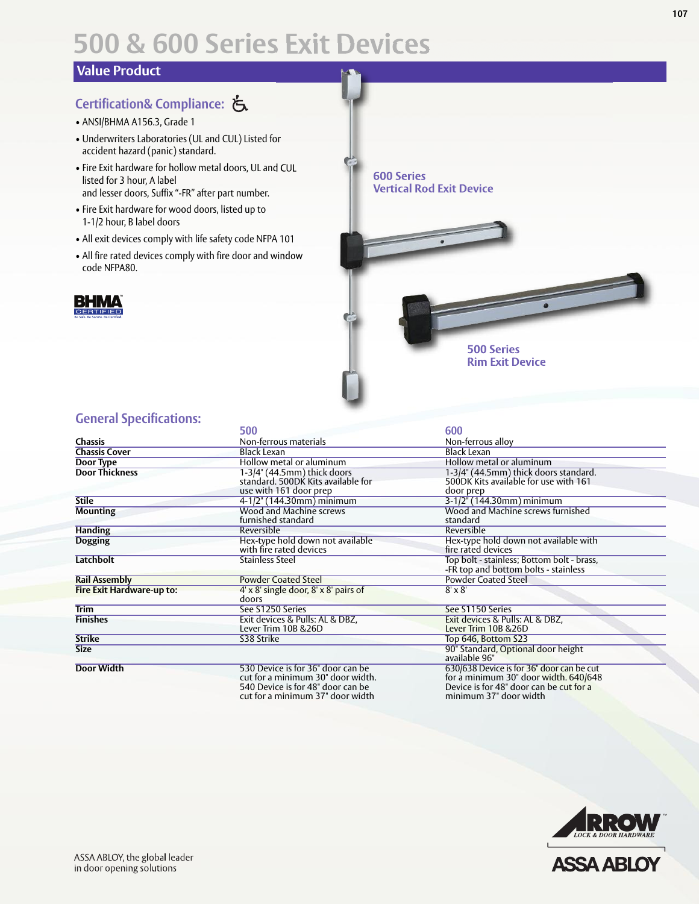# **500 & 600 Series Exit Devices**

### **Value Product**

## **Certification& Compliance:**

- ANSI/BHMA A156.3, Grade 1
- Underwriters Laboratories (UL and CUL) Listed for accident hazard (panic) standard.
- Fire Exit hardware for hollow metal doors, UL and CUL listed for 3 hour, A label and lesser doors, Suffix "-FR" after part number.
- Fire Exit hardware for wood doors, listed up to 1-1/2 hour, B label doors
- All exit devices comply with life safety code NFPA 101
- All fire rated devices comply with fire door and window code NFPA80.



**600 Series Vertical Rod Exit Device**



| <b>General Specifications:</b>   |                                                                                                                                                 |                                                                                                                                                         |
|----------------------------------|-------------------------------------------------------------------------------------------------------------------------------------------------|---------------------------------------------------------------------------------------------------------------------------------------------------------|
|                                  | 500                                                                                                                                             | 600                                                                                                                                                     |
| <b>Chassis</b>                   | Non-ferrous materials                                                                                                                           | Non-ferrous alloy                                                                                                                                       |
| <b>Chassis Cover</b>             | <b>Black Lexan</b>                                                                                                                              | <b>Black Lexan</b>                                                                                                                                      |
| Door Type                        | Hollow metal or aluminum                                                                                                                        | Hollow metal or aluminum                                                                                                                                |
| <b>Door Thickness</b>            | 1-3/4" (44.5mm) thick doors<br>standard. 500DK Kits available for<br>use with 161 door prep                                                     | 1-3/4" (44.5mm) thick doors standard.<br>500DK Kits available for use with 161<br>door prep                                                             |
| <b>Stile</b>                     | 4-1/2" (144.30mm) minimum                                                                                                                       | 3-1/2" (144.30mm) minimum                                                                                                                               |
| <b>Mounting</b>                  | <b>Wood and Machine screws</b><br>furnished standard                                                                                            | Wood and Machine screws furnished<br>standard                                                                                                           |
| <b>Handing</b>                   | <b>Reversible</b>                                                                                                                               | Reversible                                                                                                                                              |
| <b>Dogging</b>                   | Hex-type hold down not available<br>with fire rated devices                                                                                     | Hex-type hold down not available with<br>fire rated devices                                                                                             |
| <b>Latchbolt</b>                 | <b>Stainless Steel</b>                                                                                                                          | Top bolt - stainless; Bottom bolt - brass,<br>-FR top and bottom bolts - stainless                                                                      |
| <b>Rail Assembly</b>             | <b>Powder Coated Steel</b>                                                                                                                      | <b>Powder Coated Steel</b>                                                                                                                              |
| <b>Fire Exit Hardware-up to:</b> | 4' x 8' single door, 8' x 8' pairs of<br>doors                                                                                                  | $8' \times 8'$                                                                                                                                          |
| <b>Trim</b>                      | See S1250 Series                                                                                                                                | See S1150 Series                                                                                                                                        |
| <b>Finishes</b>                  | Exit devices & Pulls: AL & DBZ,<br>Lever Trim 10B &26D                                                                                          | Exit devices & Pulls: AL & DBZ,<br>Lever Trim 10B & 26D                                                                                                 |
| <b>Strike</b>                    | S38 Strike                                                                                                                                      | Top 646, Bottom S23                                                                                                                                     |
| <b>Size</b>                      |                                                                                                                                                 | 90" Standard, Optional door height<br>available 96"                                                                                                     |
| <b>Door Width</b>                | 530 Device is for 36" door can be<br>cut for a minimum 30" door width.<br>540 Device is for 48" door can be<br>cut for a minimum 37" door width | 630/638 Device is for 36" door can be cut<br>for a minimum 30" door width. 640/648<br>Device is for 48" door can be cut for a<br>minimum 37" door width |



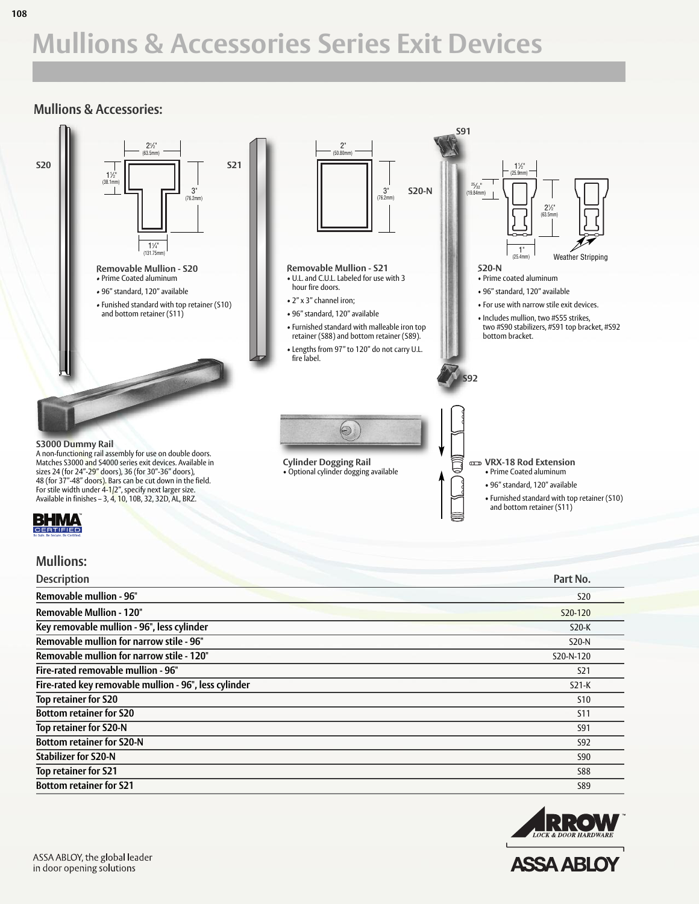# **Mullions & Accessories Series Exit Devices**

#### **Mullions & Accessories:**



#### **Mullions:**

| <b>Description</b>                                    | Part No.             |
|-------------------------------------------------------|----------------------|
| Removable mullion - 96"                               | <b>S20</b>           |
| <b>Removable Mullion - 120"</b>                       | S <sub>20</sub> -120 |
| Key removable mullion - 96", less cylinder            | $S20-K$              |
| Removable mullion for narrow stile - 96"              | $S20-N$              |
| <b>Removable mullion for narrow stile - 120"</b>      | S20-N-120            |
| Fire-rated removable mullion - 96"                    | <b>S21</b>           |
| Fire-rated key removable mullion - 96", less cylinder | $S21-K$              |
| Top retainer for S20                                  | <b>S10</b>           |
| <b>Bottom retainer for S20</b>                        | <b>S11</b>           |
| Top retainer for S20-N                                | S91                  |
| <b>Bottom retainer for S20-N</b>                      | S92                  |
| <b>Stabilizer for S20-N</b>                           | <b>S90</b>           |
| Top retainer for S21                                  | <b>S88</b>           |
| <b>Bottom retainer for S21</b>                        | <b>S89</b>           |



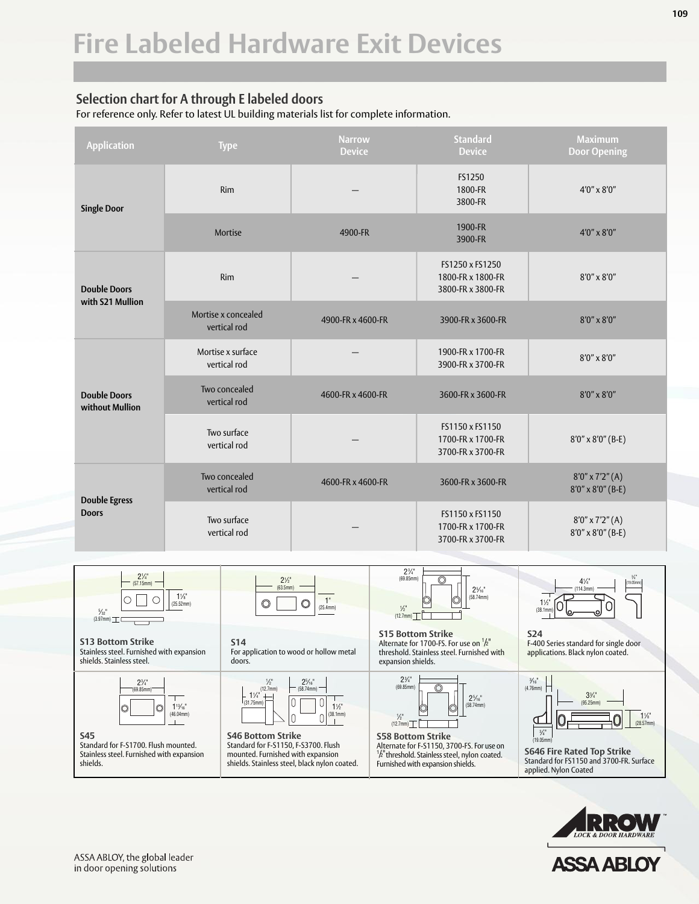## **Selection chart for A through E labeled doors**

For reference only. Refer to latest UL building materials list for complete information.

| <b>Application</b>                     | <b>Type</b>                         | <b>Narrow</b><br><b>Device</b> | <b>Standard</b><br><b>Device</b>                          | <b>Maximum</b><br><b>Door Opening</b>            |
|----------------------------------------|-------------------------------------|--------------------------------|-----------------------------------------------------------|--------------------------------------------------|
| <b>Single Door</b>                     | <b>Rim</b>                          |                                | FS1250<br>1800-FR<br>3800-FR                              | $4'0'' \times 8'0''$                             |
|                                        | Mortise                             | 4900-FR                        | 1900-FR<br>3900-FR                                        | $4'0'' \times 8'0''$                             |
| <b>Double Doors</b>                    | <b>Rim</b>                          |                                | FS1250 x FS1250<br>1800-FR x 1800-FR<br>3800-FR x 3800-FR | $8'0'' \times 8'0''$                             |
| with S21 Mullion                       | Mortise x concealed<br>vertical rod | 4900-FR x 4600-FR              | 3900-FR x 3600-FR                                         | $8'0'' \times 8'0''$                             |
|                                        | Mortise x surface<br>vertical rod   |                                | 1900-FR x 1700-FR<br>3900-FR x 3700-FR                    | $8'0'' \times 8'0''$                             |
| <b>Double Doors</b><br>without Mullion | Two concealed<br>vertical rod       | 4600-FR x 4600-FR              | 3600-FR x 3600-FR                                         | $8'0'' \times 8'0''$                             |
|                                        | Two surface<br>vertical rod         |                                | FS1150 x FS1150<br>1700-FR x 1700-FR<br>3700-FR x 3700-FR | $8'0''$ x $8'0''$ (B-E)                          |
| <b>Double Egress</b><br><b>Doors</b>   | Two concealed<br>vertical rod       | 4600-FR x 4600-FR              | 3600-FR x 3600-FR                                         | $8'0''$ x 7'2" (A)<br>$8'0''$ x $8'0''$ (B-E)    |
|                                        | Two surface<br>vertical rod         |                                | FS1150 x FS1150<br>1700-FR x 1700-FR<br>3700-FR x 3700-FR | $8'0''$ x $7'2''$ (A)<br>$8'0''$ x $8'0''$ (B-E) |



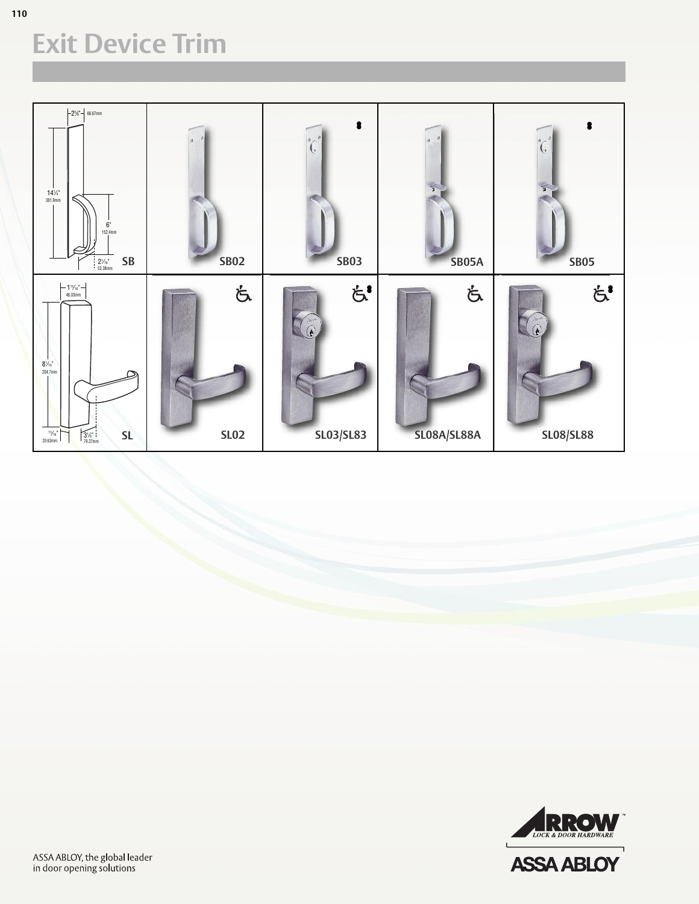# **Exit Device Trim**



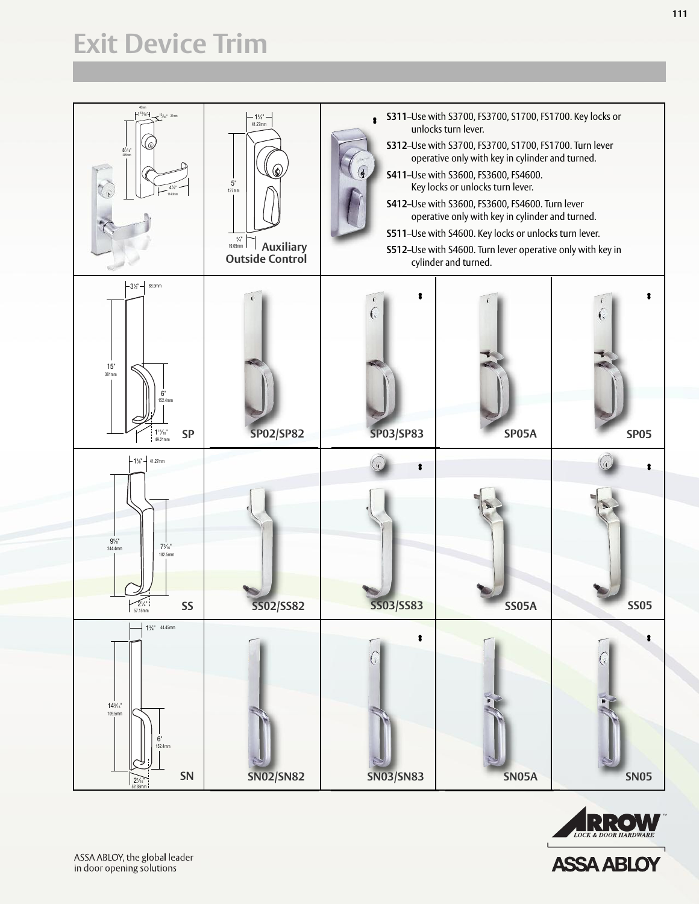# **Exit Device Trim**